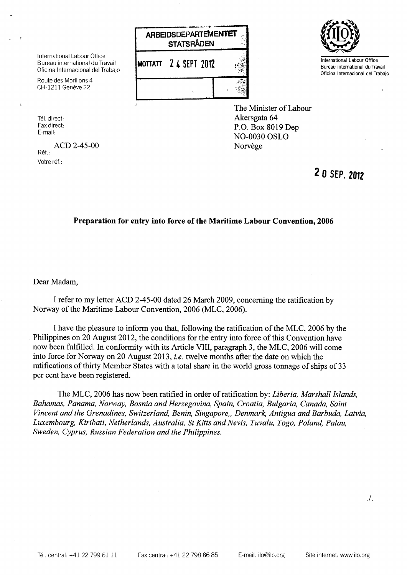



Bureau international du Travail Oficina Internacional del Trabajo

The Minister of Labour Akersgata 64 P.O. Box 8019 Dep NO-0030 OSLO Norvège

International Labour Office Bureau international du Travail Oficina Internacional del Trabajo

Route des Morillons 4 CH-1211 Genève 22

Tél. direct: Fax direct: E-mail:

 $\mathbf{I}$ 

ACD 2-45-00 Ref.: Votre réf.:

**2 0 SEP.2012**

## **Preparation for entry into force of the Maritime Labour Convention, 2006**

Dear Madam,

I refer to my letter ACD 2-45-00 dated 26 March 2009, concerning the ratification by Norway of the Maritime Labour Convention, 2006 (MLC, 2006).

I have the pleasure to inform you that, following the ratification of the MLC, 2006 by the Philippines on 20 August 2012, the conditions for the entry into force of this Convention have now been fulfilled. In conformity with its Article VIII, paragraph 3, the MLC, 2006 will come into force for Norway on 20 August 2013, *i.e.* twelve months after the date on which the ratifications of thirty Member States with <sup>a</sup> total share in the world gross tonnage of ships of 33 per cent have been registered.

The MLC, 2006 has now been ratified in order of ratification by: *Liberia, Marshall Islands,* Bahamas, Panama, Norway, Bosnia and Herzegovina, Spain, Croatia, Bulgaria, Canada, Saint Vincent and the Grenadines, Switzerland, Benin, Singapore,, Denmark, Antigua and Barbuda, Latvia, Luxembourg, Kiribati, Netherlands, Australia, St Kitts and Nevis, Tuvalu, Togo, Poland, Palau, *Sweden, Cyprus, Russian Federation and the Philippines.*

./.